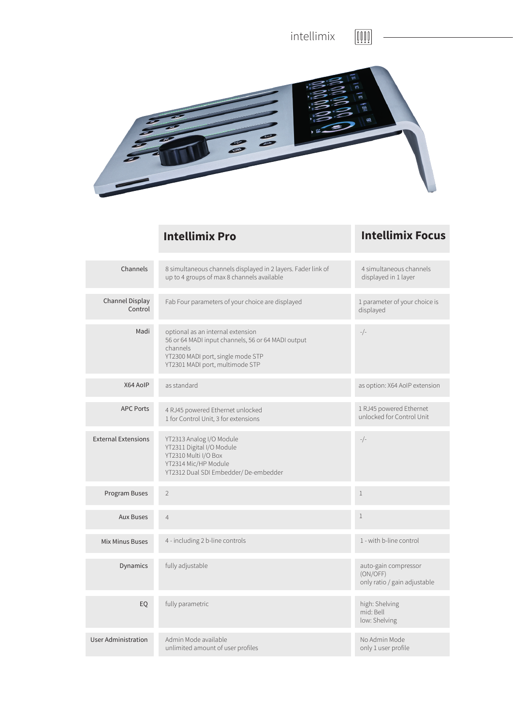

## **Intellimix Pro Intellimix Focus**

| Channels                   | 8 simultaneous channels displayed in 2 layers. Fader link of<br>up to 4 groups of max 8 channels available                                                                  | 4 simultaneous channels<br>displayed in 1 layer                  |
|----------------------------|-----------------------------------------------------------------------------------------------------------------------------------------------------------------------------|------------------------------------------------------------------|
| Channel Display<br>Control | Fab Four parameters of your choice are displayed                                                                                                                            | 1 parameter of your choice is<br>displayed                       |
| Madi                       | optional as an internal extension<br>56 or 64 MADI input channels, 56 or 64 MADI output<br>channels<br>YT2300 MADI port, single mode STP<br>YT2301 MADI port, multimode STP | $-/-$                                                            |
| X64 AoIP                   | as standard                                                                                                                                                                 | as option: X64 AoIP extension                                    |
| <b>APC Ports</b>           | 4 RJ45 powered Ethernet unlocked<br>1 for Control Unit, 3 for extensions                                                                                                    | 1 RJ45 powered Ethernet<br>unlocked for Control Unit             |
| <b>External Extensions</b> | YT2313 Analog I/O Module<br>YT2311 Digital I/O Module<br>YT2310 Multi I/O Box<br>YT2314 Mic/HP Module<br>YT2312 Dual SDI Embedder/De-embedder                               | $-/-$                                                            |
| Program Buses              | $\overline{2}$                                                                                                                                                              | $\mathbf{1}$                                                     |
| <b>Aux Buses</b>           | $\overline{4}$                                                                                                                                                              | $\mathbf{1}$                                                     |
| <b>Mix Minus Buses</b>     | 4 - including 2 b-line controls                                                                                                                                             | 1 - with b-line control                                          |
| Dynamics                   | fully adjustable                                                                                                                                                            | auto-gain compressor<br>(ON/OFF)<br>only ratio / gain adjustable |
| EQ                         | fully parametric                                                                                                                                                            | high: Shelving<br>mid: Bell<br>low: Shelving                     |
| <b>User Administration</b> | Admin Mode available<br>unlimited amount of user profiles                                                                                                                   | No Admin Mode<br>only 1 user profile                             |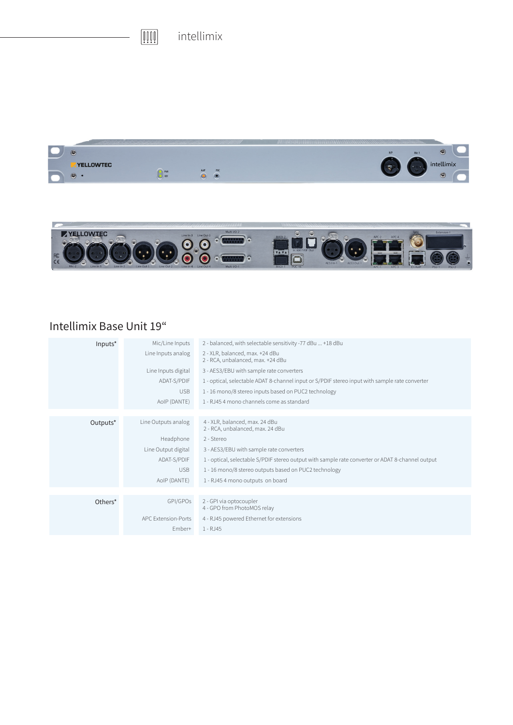$\begin{tabular}{|c|c|} \hline \rule{0pt}{3ex} \rule{0pt}{3ex} \rule{0pt}{3ex} \rule{0pt}{3ex} \rule{0pt}{3ex} \rule{0pt}{3ex} \rule{0pt}{3ex} \rule{0pt}{3ex} \rule{0pt}{3ex} \rule{0pt}{3ex} \rule{0pt}{3ex} \rule{0pt}{3ex} \rule{0pt}{3ex} \rule{0pt}{3ex} \rule{0pt}{3ex} \rule{0pt}{3ex} \rule{0pt}{3ex} \rule{0pt}{3ex} \rule{0pt}{3ex} \rule{0pt}{3ex} \rule{0pt}{3ex} \rule{0pt}{3ex} \rule{0pt}{3$ intellimix





## Intellimix Base Unit 19"

| Inputs <sup>*</sup> | Mic/Line Inputs     | 2 - balanced, with selectable sensitivity -77 dBu  +18 dBu                                       |
|---------------------|---------------------|--------------------------------------------------------------------------------------------------|
|                     | Line Inputs analog  | 2 - XLR, balanced, max. +24 dBu<br>2 - RCA, unbalanced, max. +24 dBu                             |
|                     | Line Inputs digital | 3 - AES3/EBU with sample rate converters                                                         |
|                     | ADAT-S/PDIF         | 1 - optical, selectable ADAT 8-channel input or S/PDIF stereo input with sample rate converter   |
|                     | <b>USB</b>          | 1 - 16 mono/8 stereo inputs based on PUC2 technology                                             |
|                     | AoIP (DANTE)        | 1 - RJ45 4 mono channels come as standard                                                        |
|                     |                     |                                                                                                  |
| Outputs*            | Line Outputs analog | 4 - XLR, balanced, max. 24 dBu<br>2 - RCA, unbalanced, max. 24 dBu                               |
|                     | Headphone           | 2 - Stereo                                                                                       |
|                     | Line Output digital | 3 - AES3/EBU with sample rate converters                                                         |
|                     | ADAT-S/PDIF         | 1 - optical, selectable S/PDIF stereo output with sample rate converter or ADAT 8-channel output |
|                     | <b>USB</b>          | 1 - 16 mono/8 stereo outputs based on PUC2 technology                                            |
|                     | AoIP (DANTE)        | 1 - RJ45 4 mono outputs on board                                                                 |
|                     |                     |                                                                                                  |
| Others*             | GPI/GPOs            | 2 - GPI via optocoupler<br>4 - GPO from PhotoMOS relay                                           |
|                     | APC Extension-Ports | 4 - RJ45 powered Ethernet for extensions                                                         |
|                     | Ember+              | 1 - RJ45                                                                                         |